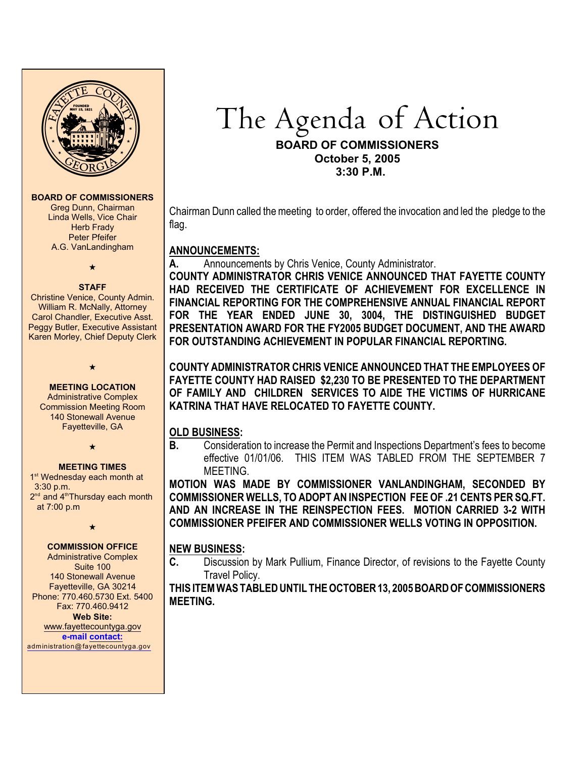

#### **BOARD OF COMMISSIONERS**

Greg Dunn, Chairman Linda Wells, Vice Chair **Herb Frady** Peter Pfeifer A.G. VanLandingham



#### **STAFF**

Christine Venice, County Admin. William R. McNally, Attorney Carol Chandler, Executive Asst. Peggy Butler, Executive Assistant Karen Morley, Chief Deputy Clerk

 $\star$ 

**MEETING LOCATION** Administrative Complex Commission Meeting Room 140 Stonewall Avenue Fayetteville, GA

 $\star$ 

#### **MEETING TIMES**

1<sup>st</sup> Wednesday each month at 3:30 p.m. 2<sup>nd</sup> and 4<sup>th</sup> Thursday each month at 7:00 p.m

 $\star$ 

## **COMMISSION OFFICE**

Administrative Complex Suite 100 140 Stonewall Avenue Fayetteville, GA 30214 Phone: 770.460.5730 Ext. 5400 Fax: 770.460.9412 **Web Site:**

[www.fayettecountyga.gov](http://www.admin.co.fayette.ga.us) **e-mail [contact:](mailto:administration@fayettecountyga.gov)** [administration@fayettecountyga.gov](mailto:administration@fayettecountyga.gov) The Agenda of Action

#### **BOARD OF COMMISSIONERS October 5, 2005 3:30 P.M.**

Chairman Dunn called the meeting to order, offered the invocation and led the pledge to the flag.

## **ANNOUNCEMENTS:**

**A.** Announcements by Chris Venice, County Administrator.

**COUNTY ADMINISTRATOR CHRIS VENICE ANNOUNCED THAT FAYETTE COUNTY HAD RECEIVED THE CERTIFICATE OF ACHIEVEMENT FOR EXCELLENCE IN FINANCIAL REPORTING FOR THE COMPREHENSIVE ANNUAL FINANCIAL REPORT FOR THE YEAR ENDED JUNE 30, 3004, THE DISTINGUISHED BUDGET PRESENTATION AWARD FOR THE FY2005 BUDGET DOCUMENT, AND THE AWARD FOR OUTSTANDING ACHIEVEMENT IN POPULAR FINANCIAL REPORTING.**

**COUNTY ADMINISTRATOR CHRIS VENICE ANNOUNCED THAT THE EMPLOYEES OF FAYETTE COUNTY HAD RAISED \$2,230 TO BE PRESENTED TO THE DEPARTMENT OF FAMILY AND CHILDREN SERVICES TO AIDE THE VICTIMS OF HURRICANE KATRINA THAT HAVE RELOCATED TO FAYETTE COUNTY.**

# **OLD BUSINESS:**

**B.** Consideration to increase the Permit and Inspections Department's fees to become effective 01/01/06.THIS ITEM WAS TABLED FROM THE SEPTEMBER 7 MEETING.

**MOTION WAS MADE BY COMMISSIONER VANLANDINGHAM, SECONDED BY COMMISSIONER WELLS, TO ADOPT AN INSPECTION FEE OF .21 CENTS PER SQ.FT. AND AN INCREASE IN THE REINSPECTION FEES. MOTION CARRIED 3-2 WITH COMMISSIONER PFEIFER AND COMMISSIONER WELLS VOTING IN OPPOSITION.**

# **NEW BUSINESS:**

**C.** Discussion by Mark Pullium, Finance Director, of revisions to the Fayette County Travel Policy.

**THIS ITEM WAS TABLED UNTIL THE OCTOBER 13, 2005 BOARD OF COMMISSIONERS MEETING.**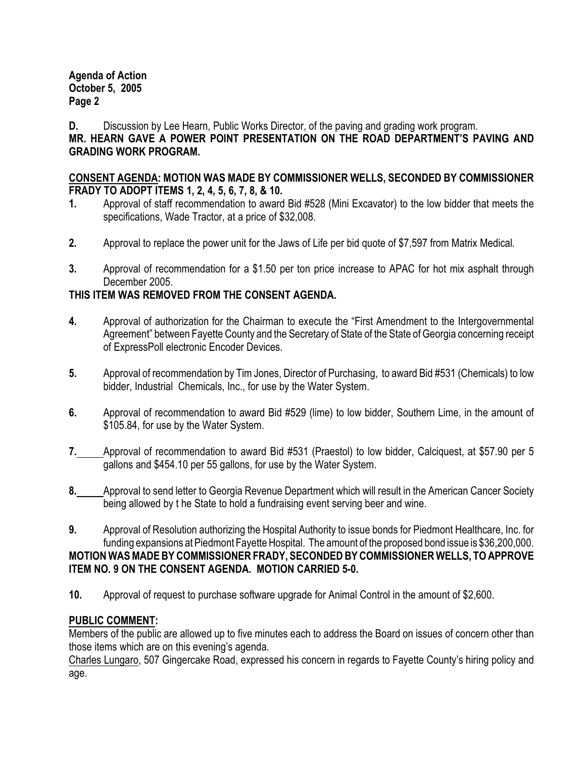**Agenda of Action October 5, 2005 Page 2**

**D.** Discussion by Lee Hearn, Public Works Director, of the paving and grading work program.

**MR. HEARN GAVE A POWER POINT PRESENTATION ON THE ROAD DEPARTMENT'S PAVING AND GRADING WORK PROGRAM.**

#### **CONSENT AGENDA: MOTION WAS MADE BY COMMISSIONER WELLS, SECONDED BY COMMISSIONER FRADY TO ADOPT ITEMS 1, 2, 4, 5, 6, 7, 8, & 10.**

- **1.** Approval of staff recommendation to award Bid #528 (Mini Excavator) to the low bidder that meets the specifications, Wade Tractor, at a price of \$32,008.
- **2.** Approval to replace the power unit for the Jaws of Life per bid quote of \$7,597 from Matrix Medical.
- **3.** Approval of recommendation for a \$1.50 per ton price increase to APAC for hot mix asphalt through December 2005.

## **THIS ITEM WAS REMOVED FROM THE CONSENT AGENDA.**

- **4.** Approval of authorization for the Chairman to execute the "First Amendment to the Intergovernmental Agreement" between Fayette County and the Secretary of State of the State of Georgia concerning receipt of ExpressPoll electronic Encoder Devices.
- **5.** Approval of recommendation by Tim Jones, Director of Purchasing, to award Bid #531 (Chemicals) to low bidder, Industrial Chemicals, Inc., for use by the Water System.
- **6.** Approval of recommendation to award Bid #529 (lime) to low bidder, Southern Lime, in the amount of \$105.84, for use by the Water System.
- **7.** Approval of recommendation to award Bid #531 (Praestol) to low bidder, Calciquest, at \$57.90 per 5 gallons and \$454.10 per 55 gallons, for use by the Water System.
- **8.** Approval to send letter to Georgia Revenue Department which will result in the American Cancer Society being allowed by t he State to hold a fundraising event serving beer and wine.
- **9.** Approval of Resolution authorizing the Hospital Authority to issue bonds for Piedmont Healthcare, Inc. for funding expansions at Piedmont Fayette Hospital. The amount of the proposed bond issue is \$36,200,000. **MOTION WAS MADE BY COMMISSIONER FRADY, SECONDED BY COMMISSIONER WELLS, TO APPROVE ITEM NO. 9 ON THE CONSENT AGENDA. MOTION CARRIED 5-0.**
- **10.** Approval of request to purchase software upgrade for Animal Control in the amount of \$2,600.

#### **PUBLIC COMMENT:**

Members of the public are allowed up to five minutes each to address the Board on issues of concern other than those items which are on this evening's agenda.

Charles Lungaro, 507 Gingercake Road, expressed his concern in regards to Fayette County's hiring policy and age.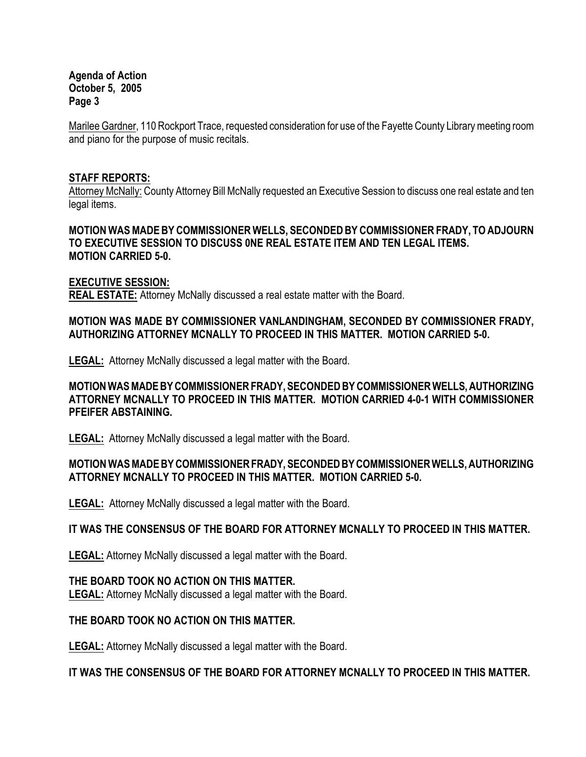**Agenda of Action October 5, 2005 Page 3**

Marilee Gardner, 110 Rockport Trace, requested consideration for use of the Fayette County Library meeting room and piano for the purpose of music recitals.

#### **STAFF REPORTS:**

Attorney McNally: County Attorney Bill McNally requested an Executive Session to discuss one real estate and ten legal items.

**MOTION WAS MADE BY COMMISSIONER WELLS, SECONDED BY COMMISSIONER FRADY, TO ADJOURN TO EXECUTIVE SESSION TO DISCUSS 0NE REAL ESTATE ITEM AND TEN LEGAL ITEMS. MOTION CARRIED 5-0.**

#### **EXECUTIVE SESSION:**

**REAL ESTATE:** Attorney McNally discussed a real estate matter with the Board.

## **MOTION WAS MADE BY COMMISSIONER VANLANDINGHAM, SECONDED BY COMMISSIONER FRADY, AUTHORIZING ATTORNEY MCNALLY TO PROCEED IN THIS MATTER. MOTION CARRIED 5-0.**

**LEGAL:** Attorney McNally discussed a legal matter with the Board.

## **MOTION WAS MADE BY COMMISSIONER FRADY, SECONDED BY COMMISSIONER WELLS, AUTHORIZING ATTORNEY MCNALLY TO PROCEED IN THIS MATTER. MOTION CARRIED 4-0-1 WITH COMMISSIONER PFEIFER ABSTAINING.**

**LEGAL:** Attorney McNally discussed a legal matter with the Board.

## **MOTION WAS MADE BY COMMISSIONER FRADY, SECONDED BY COMMISSIONER WELLS, AUTHORIZING ATTORNEY MCNALLY TO PROCEED IN THIS MATTER. MOTION CARRIED 5-0.**

**LEGAL:** Attorney McNally discussed a legal matter with the Board.

## **IT WAS THE CONSENSUS OF THE BOARD FOR ATTORNEY MCNALLY TO PROCEED IN THIS MATTER.**

**LEGAL:** Attorney McNally discussed a legal matter with the Board.

## **THE BOARD TOOK NO ACTION ON THIS MATTER.**

**LEGAL:** Attorney McNally discussed a legal matter with the Board.

## **THE BOARD TOOK NO ACTION ON THIS MATTER.**

**LEGAL:** Attorney McNally discussed a legal matter with the Board.

## **IT WAS THE CONSENSUS OF THE BOARD FOR ATTORNEY MCNALLY TO PROCEED IN THIS MATTER.**